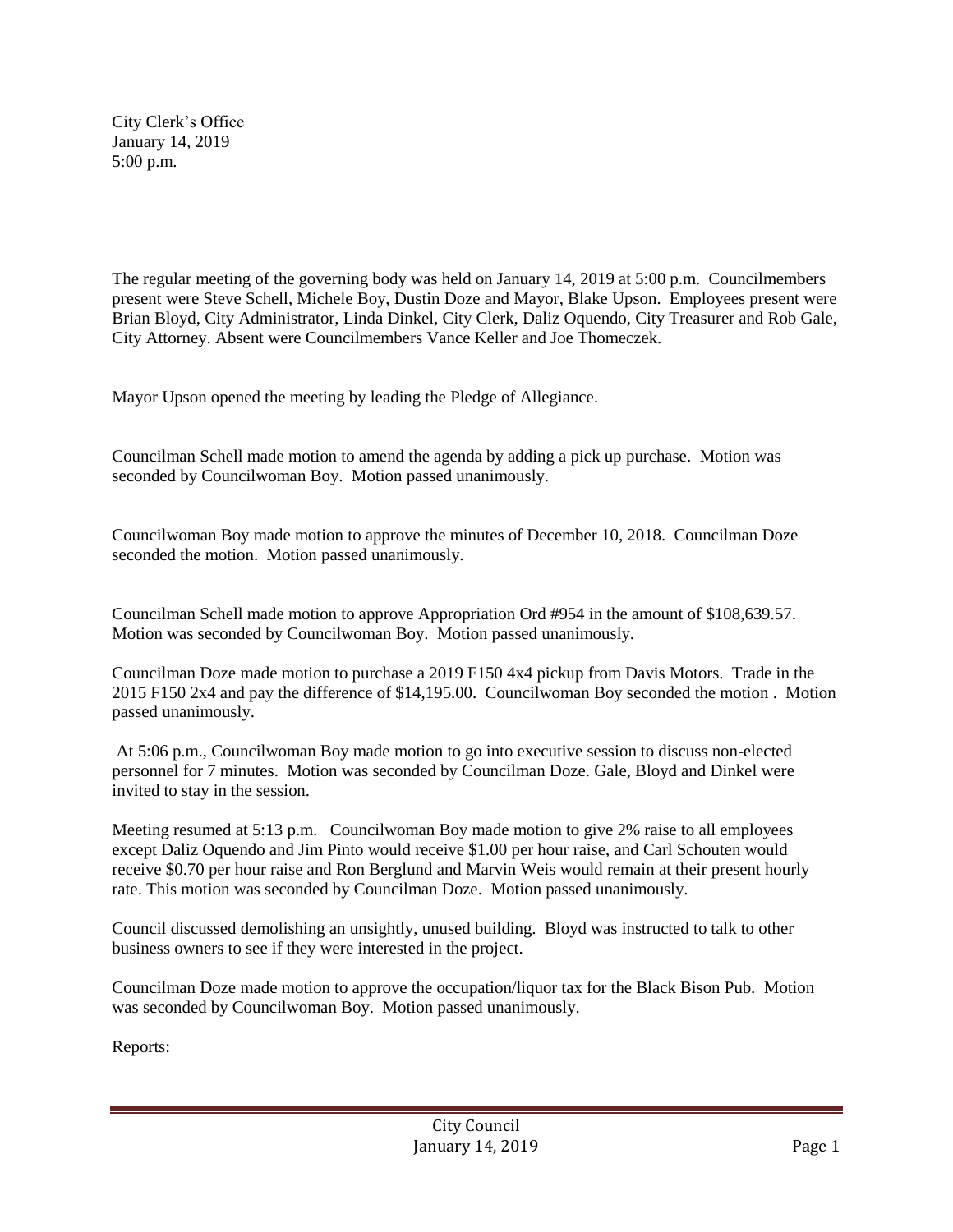City Clerk's Office January 14, 2019 5:00 p.m.

The regular meeting of the governing body was held on January 14, 2019 at 5:00 p.m. Councilmembers present were Steve Schell, Michele Boy, Dustin Doze and Mayor, Blake Upson. Employees present were Brian Bloyd, City Administrator, Linda Dinkel, City Clerk, Daliz Oquendo, City Treasurer and Rob Gale, City Attorney. Absent were Councilmembers Vance Keller and Joe Thomeczek.

Mayor Upson opened the meeting by leading the Pledge of Allegiance.

Councilman Schell made motion to amend the agenda by adding a pick up purchase. Motion was seconded by Councilwoman Boy. Motion passed unanimously.

Councilwoman Boy made motion to approve the minutes of December 10, 2018. Councilman Doze seconded the motion. Motion passed unanimously.

Councilman Schell made motion to approve Appropriation Ord #954 in the amount of \$108,639.57. Motion was seconded by Councilwoman Boy. Motion passed unanimously.

Councilman Doze made motion to purchase a 2019 F150 4x4 pickup from Davis Motors. Trade in the 2015 F150 2x4 and pay the difference of \$14,195.00. Councilwoman Boy seconded the motion . Motion passed unanimously.

At 5:06 p.m., Councilwoman Boy made motion to go into executive session to discuss non-elected personnel for 7 minutes. Motion was seconded by Councilman Doze. Gale, Bloyd and Dinkel were invited to stay in the session.

Meeting resumed at 5:13 p.m. Councilwoman Boy made motion to give 2% raise to all employees except Daliz Oquendo and Jim Pinto would receive \$1.00 per hour raise, and Carl Schouten would receive \$0.70 per hour raise and Ron Berglund and Marvin Weis would remain at their present hourly rate. This motion was seconded by Councilman Doze. Motion passed unanimously.

Council discussed demolishing an unsightly, unused building. Bloyd was instructed to talk to other business owners to see if they were interested in the project.

Councilman Doze made motion to approve the occupation/liquor tax for the Black Bison Pub. Motion was seconded by Councilwoman Boy. Motion passed unanimously.

Reports: